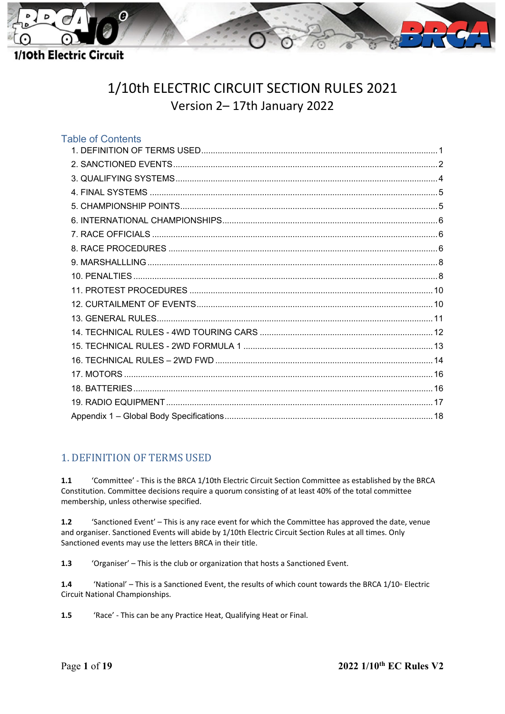

# 1/10th ELECTRIC CIRCUIT SECTION RULES 2021 Version 2– 17th January 2022

| <b>Table of Contents</b> |  |
|--------------------------|--|
|                          |  |
|                          |  |
|                          |  |
|                          |  |
|                          |  |
|                          |  |
|                          |  |
|                          |  |
|                          |  |
|                          |  |
|                          |  |
|                          |  |
|                          |  |
|                          |  |
|                          |  |
|                          |  |
|                          |  |
|                          |  |
|                          |  |
|                          |  |
|                          |  |

### <span id="page-0-0"></span>1. DEFINITION OF TERMS USED

**1.1** 'Committee' - This is the BRCA 1/10th Electric Circuit Section Committee as established by the BRCA Constitution. Committee decisions require a quorum consisting of at least 40% of the total committee membership, unless otherwise specified.

**1.2** 'Sanctioned Event' – This is any race event for which the Committee has approved the date, venue and organiser. Sanctioned Events will abide by 1/10th Electric Circuit Section Rules at all times. Only Sanctioned events may use the letters BRCA in their title.

**1.3** 'Organiser' – This is the club or organization that hosts a Sanctioned Event.

1.4 'National' – This is a Sanctioned Event, the results of which count towards the BRCA 1/10<sup>th</sup> Electric Circuit National Championships.

**1.5** 'Race' - This can be any Practice Heat, Qualifying Heat or Final.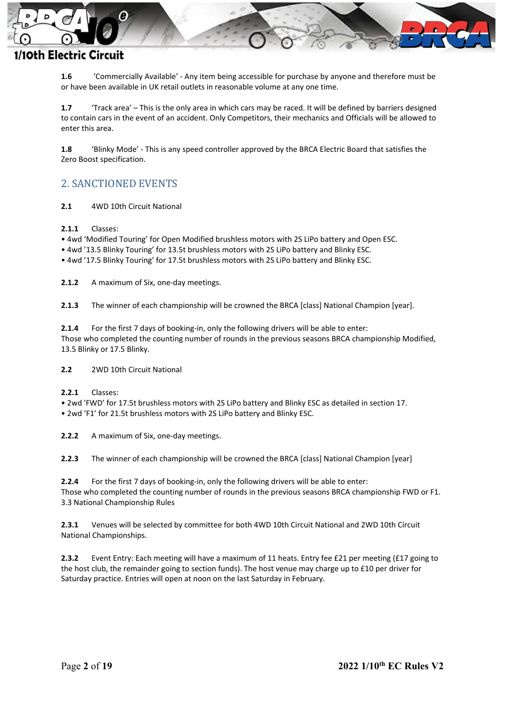

**1.6** 'Commercially Available' - Any item being accessible for purchase by anyone and therefore must be or have been available in UK retail outlets in reasonable volume at any one time.

**1.7** 'Track area' – This is the only area in which cars may be raced. It will be defined by barriers designed to contain cars in the event of an accident. Only Competitors, their mechanics and Officials will be allowed to enter this area.

**1.8** 'Blinky Mode' - This is any speed controller approved by the BRCA Electric Board that satisfies the Zero Boost specification.

### <span id="page-1-0"></span>2. SANCTIONED EVENTS

**2.1** 4WD 10th Circuit National

**2.1.1** Classes:

• 4wd 'Modified Touring' for Open Modified brushless motors with 2S LiPo battery and Open ESC.

• 4wd '13.5 Blinky Touring' for 13.5t brushless motors with 2S LiPo battery and Blinky ESC.

• 4wd '17.5 Blinky Touring' for 17.5t brushless motors with 2S LiPo battery and Blinky ESC.

**2.1.2** A maximum of Six, one-day meetings.

**2.1.3** The winner of each championship will be crowned the BRCA [class] National Champion [year].

**2.1.4** For the first 7 days of booking-in, only the following drivers will be able to enter: Those who completed the counting number of rounds in the previous seasons BRCA championship Modified, 13.5 Blinky or 17.5 Blinky.

**2.2** 2WD 10th Circuit National

**2.2.1** Classes:

• 2wd 'FWD' for 17.5t brushless motors with 2S LiPo battery and Blinky ESC as detailed in section 17.

• 2wd 'F1' for 21.5t brushless motors with 2S LiPo battery and Blinky ESC.

**2.2.2** A maximum of Six, one-day meetings.

**2.2.3** The winner of each championship will be crowned the BRCA [class] National Champion [year]

**2.2.4** For the first 7 days of booking-in, only the following drivers will be able to enter: Those who completed the counting number of rounds in the previous seasons BRCA championship FWD or F1. 3.3 National Championship Rules

**2.3.1** Venues will be selected by committee for both 4WD 10th Circuit National and 2WD 10th Circuit National Championships.

**2.3.2** Event Entry: Each meeting will have a maximum of 11 heats. Entry fee £21 per meeting (£17 going to the host club, the remainder going to section funds). The host venue may charge up to £10 per driver for Saturday practice. Entries will open at noon on the last Saturday in February.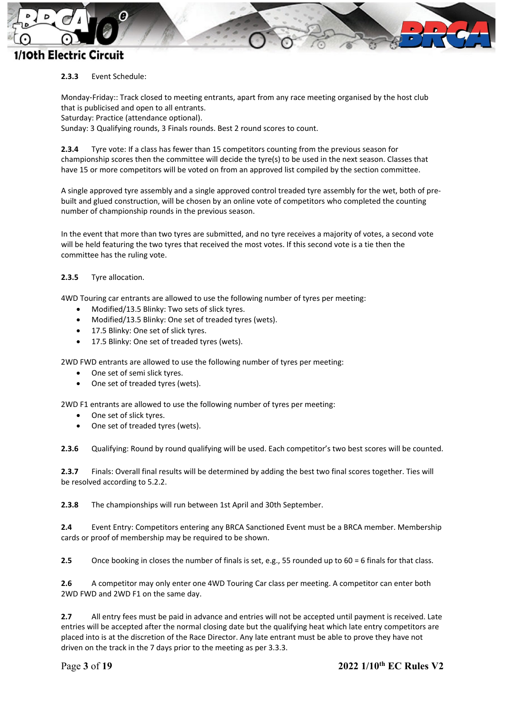

#### **2.3.3** Event Schedule:

Monday‐Friday:: Track closed to meeting entrants, apart from any race meeting organised by the host club that is publicised and open to all entrants.

Saturday: Practice (attendance optional).

Sunday: 3 Qualifying rounds, 3 Finals rounds. Best 2 round scores to count.

**2.3.4** Tyre vote: If a class has fewer than 15 competitors counting from the previous season for championship scores then the committee will decide the tyre(s) to be used in the next season. Classes that have 15 or more competitors will be voted on from an approved list compiled by the section committee.

A single approved tyre assembly and a single approved control treaded tyre assembly for the wet, both of prebuilt and glued construction, will be chosen by an online vote of competitors who completed the counting number of championship rounds in the previous season.

In the event that more than two tyres are submitted, and no tyre receives a majority of votes, a second vote will be held featuring the two tyres that received the most votes. If this second vote is a tie then the committee has the ruling vote.

#### **2.3.5** Tyre allocation.

4WD Touring car entrants are allowed to use the following number of tyres per meeting:

- Modified/13.5 Blinky: Two sets of slick tyres.
- Modified/13.5 Blinky: One set of treaded tyres (wets).
- 17.5 Blinky: One set of slick tyres.
- 17.5 Blinky: One set of treaded tyres (wets).

2WD FWD entrants are allowed to use the following number of tyres per meeting:

- One set of semi slick tyres.
- One set of treaded tyres (wets).

2WD F1 entrants are allowed to use the following number of tyres per meeting:

- One set of slick tyres.
- One set of treaded tyres (wets).

**2.3.6** Qualifying: Round by round qualifying will be used. Each competitor's two best scores will be counted.

**2.3.7** Finals: Overall final results will be determined by adding the best two final scores together. Ties will be resolved according to 5.2.2.

**2.3.8** The championships will run between 1st April and 30th September.

**2.4** Event Entry: Competitors entering any BRCA Sanctioned Event must be a BRCA member. Membership cards or proof of membership may be required to be shown.

**2.5** Once booking in closes the number of finals is set, e.g., 55 rounded up to 60 = 6 finals for that class.

**2.6** A competitor may only enter one 4WD Touring Car class per meeting. A competitor can enter both 2WD FWD and 2WD F1 on the same day.

**2.7** All entry fees must be paid in advance and entries will not be accepted until payment is received. Late entries will be accepted after the normal closing date but the qualifying heat which late entry competitors are placed into is at the discretion of the Race Director. Any late entrant must be able to prove they have not driven on the track in the 7 days prior to the meeting as per 3.3.3.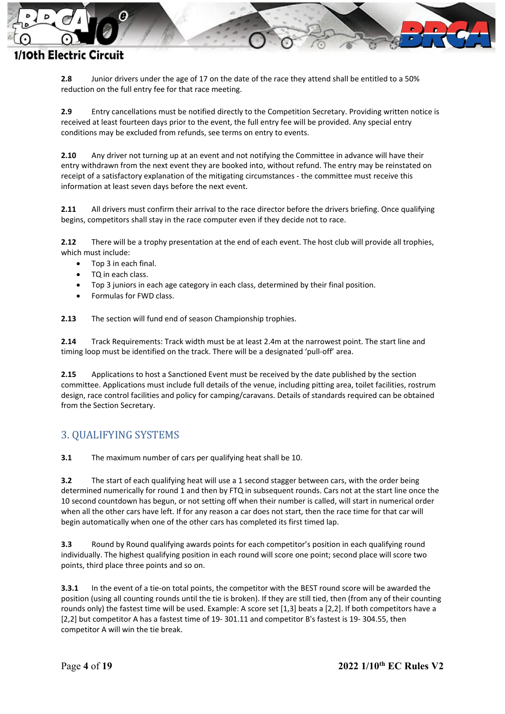

**2.8** Junior drivers under the age of 17 on the date of the race they attend shall be entitled to a 50% reduction on the full entry fee for that race meeting.

**2.9** Entry cancellations must be notified directly to the Competition Secretary. Providing written notice is received at least fourteen days prior to the event, the full entry fee will be provided. Any special entry conditions may be excluded from refunds, see terms on entry to events.

**2.10** Any driver not turning up at an event and not notifying the Committee in advance will have their entry withdrawn from the next event they are booked into, without refund. The entry may be reinstated on receipt of a satisfactory explanation of the mitigating circumstances - the committee must receive this information at least seven days before the next event.

**2.11** All drivers must confirm their arrival to the race director before the drivers briefing. Once qualifying begins, competitors shall stay in the race computer even if they decide not to race.

**2.12** There will be a trophy presentation at the end of each event. The host club will provide all trophies, which must include:

- Top 3 in each final.
- TQ in each class.
- Top 3 juniors in each age category in each class, determined by their final position.
- Formulas for FWD class.

**2.13** The section will fund end of season Championship trophies.

**2.14** Track Requirements: Track width must be at least 2.4m at the narrowest point. The start line and timing loop must be identified on the track. There will be a designated 'pull-off' area.

**2.15** Applications to host a Sanctioned Event must be received by the date published by the section committee. Applications must include full details of the venue, including pitting area, toilet facilities, rostrum design, race control facilities and policy for camping/caravans. Details of standards required can be obtained from the Section Secretary.

### <span id="page-3-0"></span>3. QUALIFYING SYSTEMS

**3.1** The maximum number of cars per qualifying heat shall be 10.

**3.2** The start of each qualifying heat will use a 1 second stagger between cars, with the order being determined numerically for round 1 and then by FTQ in subsequent rounds. Cars not at the start line once the 10 second countdown has begun, or not setting off when their number is called, will start in numerical order when all the other cars have left. If for any reason a car does not start, then the race time for that car will begin automatically when one of the other cars has completed its first timed lap.

**3.3** Round by Round qualifying awards points for each competitor's position in each qualifying round individually. The highest qualifying position in each round will score one point; second place will score two points, third place three points and so on.

**3.3.1** In the event of a tie-on total points, the competitor with the BEST round score will be awarded the position (using all counting rounds until the tie is broken). If they are still tied, then (from any of their counting rounds only) the fastest time will be used. Example: A score set [1,3] beats a [2,2]. If both competitors have a [2,2] but competitor A has a fastest time of 19- 301.11 and competitor B's fastest is 19- 304.55, then competitor A will win the tie break.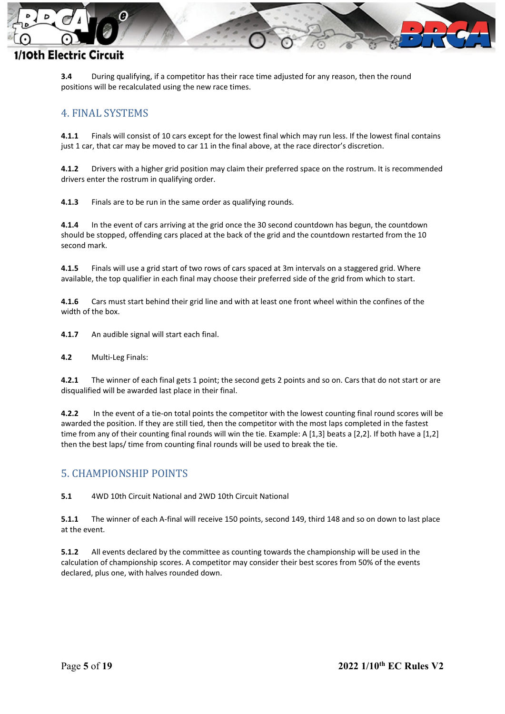

**3.4** During qualifying, if a competitor has their race time adjusted for any reason, then the round positions will be recalculated using the new race times.

### <span id="page-4-0"></span>4. FINAL SYSTEMS

**4.1.1** Finals will consist of 10 cars except for the lowest final which may run less. If the lowest final contains just 1 car, that car may be moved to car 11 in the final above, at the race director's discretion.

**4.1.2** Drivers with a higher grid position may claim their preferred space on the rostrum. It is recommended drivers enter the rostrum in qualifying order.

**4.1.3** Finals are to be run in the same order as qualifying rounds.

**4.1.4** In the event of cars arriving at the grid once the 30 second countdown has begun, the countdown should be stopped, offending cars placed at the back of the grid and the countdown restarted from the 10 second mark.

**4.1.5** Finals will use a grid start of two rows of cars spaced at 3m intervals on a staggered grid. Where available, the top qualifier in each final may choose their preferred side of the grid from which to start.

**4.1.6** Cars must start behind their grid line and with at least one front wheel within the confines of the width of the box.

**4.1.7** An audible signal will start each final.

**4.2** Multi-Leg Finals:

**4.2.1** The winner of each final gets 1 point; the second gets 2 points and so on. Cars that do not start or are disqualified will be awarded last place in their final.

**4.2.2** In the event of a tie-on total points the competitor with the lowest counting final round scores will be awarded the position. If they are still tied, then the competitor with the most laps completed in the fastest time from any of their counting final rounds will win the tie. Example: A [1,3] beats a [2,2]. If both have a [1,2] then the best laps/ time from counting final rounds will be used to break the tie.

#### <span id="page-4-1"></span>5. CHAMPIONSHIP POINTS

**5.1** 4WD 10th Circuit National and 2WD 10th Circuit National

**5.1.1** The winner of each A-final will receive 150 points, second 149, third 148 and so on down to last place at the event.

**5.1.2** All events declared by the committee as counting towards the championship will be used in the calculation of championship scores. A competitor may consider their best scores from 50% of the events declared, plus one, with halves rounded down.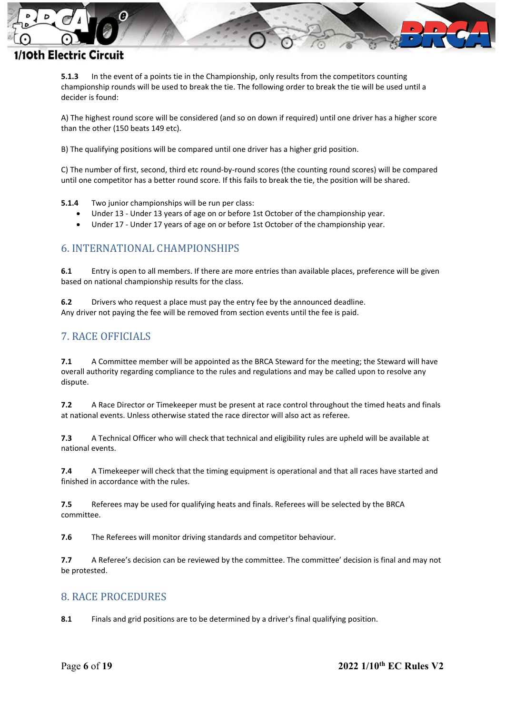

**5.1.3** In the event of a points tie in the Championship, only results from the competitors counting championship rounds will be used to break the tie. The following order to break the tie will be used until a decider is found:

A) The highest round score will be considered (and so on down if required) until one driver has a higher score than the other (150 beats 149 etc).

B) The qualifying positions will be compared until one driver has a higher grid position.

C) The number of first, second, third etc round-by-round scores (the counting round scores) will be compared until one competitor has a better round score. If this fails to break the tie, the position will be shared.

**5.1.4** Two junior championships will be run per class:

- Under 13 Under 13 years of age on or before 1st October of the championship year.
- Under 17 Under 17 years of age on or before 1st October of the championship year.

#### <span id="page-5-0"></span>6. INTERNATIONAL CHAMPIONSHIPS

**6.1** Entry is open to all members. If there are more entries than available places, preference will be given based on national championship results for the class.

**6.2** Drivers who request a place must pay the entry fee by the announced deadline. Any driver not paying the fee will be removed from section events until the fee is paid.

#### <span id="page-5-1"></span>7. RACE OFFICIALS

**7.1** A Committee member will be appointed as the BRCA Steward for the meeting; the Steward will have overall authority regarding compliance to the rules and regulations and may be called upon to resolve any dispute.

**7.2** A Race Director or Timekeeper must be present at race control throughout the timed heats and finals at national events. Unless otherwise stated the race director will also act as referee.

**7.3** A Technical Officer who will check that technical and eligibility rules are upheld will be available at national events.

**7.4** A Timekeeper will check that the timing equipment is operational and that all races have started and finished in accordance with the rules.

**7.5** Referees may be used for qualifying heats and finals. Referees will be selected by the BRCA committee.

**7.6** The Referees will monitor driving standards and competitor behaviour.

**7.7** A Referee's decision can be reviewed by the committee. The committee' decision is final and may not be protested.

#### <span id="page-5-2"></span>8. RACE PROCEDURES

**8.1** Finals and grid positions are to be determined by a driver's final qualifying position.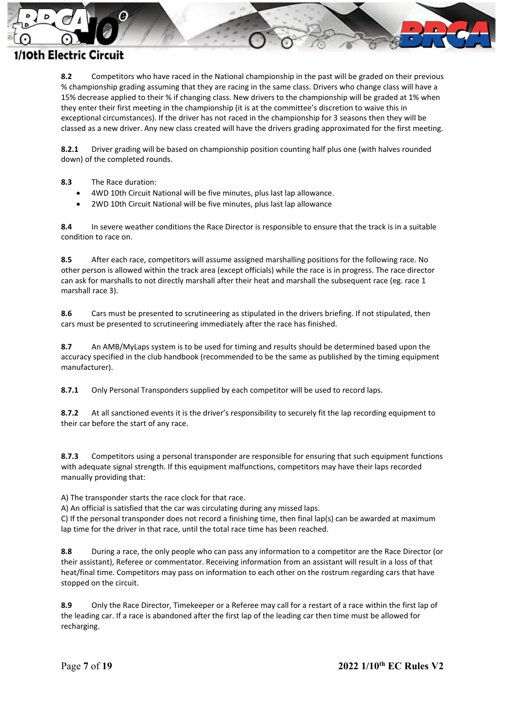

**8.2** Competitors who have raced in the National championship in the past will be graded on their previous % championship grading assuming that they are racing in the same class. Drivers who change class will have a 15% decrease applied to their % if changing class. New drivers to the championship will be graded at 1% when they enter their first meeting in the championship (it is at the committee's discretion to waive this in exceptional circumstances). If the driver has not raced in the championship for 3 seasons then they will be classed as a new driver. Any new class created will have the drivers grading approximated for the first meeting.

**8.2.1** Driver grading will be based on championship position counting half plus one (with halves rounded down) of the completed rounds.

- **8.3** The Race duration:
	- 4WD 10th Circuit National will be five minutes, plus last lap allowance.
	- 2WD 10th Circuit National will be five minutes, plus last lap allowance

**8.4** In severe weather conditions the Race Director is responsible to ensure that the track is in a suitable condition to race on.

**8.5** After each race, competitors will assume assigned marshalling positions for the following race. No other person is allowed within the track area (except officials) while the race is in progress. The race director can ask for marshalls to not directly marshall after their heat and marshall the subsequent race (eg. race 1 marshall race 3).

**8.6** Cars must be presented to scrutineering as stipulated in the drivers briefing. If not stipulated, then cars must be presented to scrutineering immediately after the race has finished.

**8.7** An AMB/MyLaps system is to be used for timing and results should be determined based upon the accuracy specified in the club handbook (recommended to be the same as published by the timing equipment manufacturer).

**8.7.1** Only Personal Transponders supplied by each competitor will be used to record laps.

**8.7.2** At all sanctioned events it is the driver's responsibility to securely fit the lap recording equipment to their car before the start of any race.

**8.7.3** Competitors using a personal transponder are responsible for ensuring that such equipment functions with adequate signal strength. If this equipment malfunctions, competitors may have their laps recorded manually providing that:

A) The transponder starts the race clock for that race.

A) An official is satisfied that the car was circulating during any missed laps.

C) If the personal transponder does not record a finishing time, then final lap(s) can be awarded at maximum lap time for the driver in that race, until the total race time has been reached.

**8.8** During a race, the only people who can pass any information to a competitor are the Race Director (or their assistant), Referee or commentator. Receiving information from an assistant will result in a loss of that heat/final time. Competitors may pass on information to each other on the rostrum regarding cars that have stopped on the circuit.

**8.9** Only the Race Director, Timekeeper or a Referee may call for a restart of a race within the first lap of the leading car. If a race is abandoned after the first lap of the leading car then time must be allowed for recharging.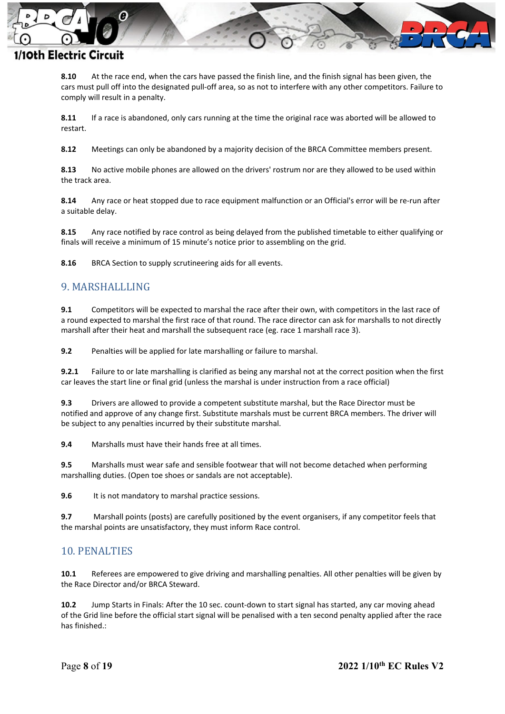

**8.10** At the race end, when the cars have passed the finish line, and the finish signal has been given, the cars must pull off into the designated pull-off area, so as not to interfere with any other competitors. Failure to comply will result in a penalty.

**8.11** If a race is abandoned, only cars running at the time the original race was aborted will be allowed to restart.

**8.12** Meetings can only be abandoned by a majority decision of the BRCA Committee members present.

**8.13** No active mobile phones are allowed on the drivers' rostrum nor are they allowed to be used within the track area.

**8.14** Any race or heat stopped due to race equipment malfunction or an Official's error will be re-run after a suitable delay.

**8.15** Any race notified by race control as being delayed from the published timetable to either qualifying or finals will receive a minimum of 15 minute's notice prior to assembling on the grid.

**8.16** BRCA Section to supply scrutineering aids for all events.

### <span id="page-7-0"></span>9. MARSHALLLING

**9.1** Competitors will be expected to marshal the race after their own, with competitors in the last race of a round expected to marshal the first race of that round. The race director can ask for marshalls to not directly marshall after their heat and marshall the subsequent race (eg. race 1 marshall race 3).

**9.2** Penalties will be applied for late marshalling or failure to marshal.

**9.2.1** Failure to or late marshalling is clarified as being any marshal not at the correct position when the first car leaves the start line or final grid (unless the marshal is under instruction from a race official)

**9.3** Drivers are allowed to provide a competent substitute marshal, but the Race Director must be notified and approve of any change first. Substitute marshals must be current BRCA members. The driver will be subject to any penalties incurred by their substitute marshal.

**9.4** Marshalls must have their hands free at all times.

**9.5** Marshalls must wear safe and sensible footwear that will not become detached when performing marshalling duties. (Open toe shoes or sandals are not acceptable).

**9.6** It is not mandatory to marshal practice sessions.

**9.7** Marshall points (posts) are carefully positioned by the event organisers, if any competitor feels that the marshal points are unsatisfactory, they must inform Race control.

#### <span id="page-7-1"></span>10. PENALTIES

**10.1** Referees are empowered to give driving and marshalling penalties. All other penalties will be given by the Race Director and/or BRCA Steward.

**10.2** Jump Starts in Finals: After the 10 sec. count-down to start signal has started, any car moving ahead of the Grid line before the official start signal will be penalised with a ten second penalty applied after the race has finished.: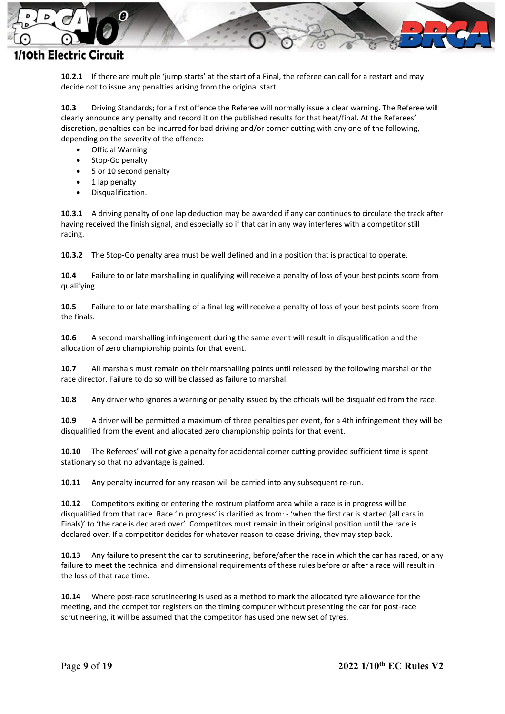

**10.2.1** If there are multiple 'jump starts' at the start of a Final, the referee can call for a restart and may decide not to issue any penalties arising from the original start.

**10.3** Driving Standards; for a first offence the Referee will normally issue a clear warning. The Referee will clearly announce any penalty and record it on the published results for that heat/final. At the Referees' discretion, penalties can be incurred for bad driving and/or corner cutting with any one of the following, depending on the severity of the offence:

- **Official Warning**
- Stop-Go penalty
- 5 or 10 second penalty
- 1 lap penalty
- Disqualification.

**10.3.1** A driving penalty of one lap deduction may be awarded if any car continues to circulate the track after having received the finish signal, and especially so if that car in any way interferes with a competitor still racing.

**10.3.2** The Stop-Go penalty area must be well defined and in a position that is practical to operate.

**10.4** Failure to or late marshalling in qualifying will receive a penalty of loss of your best points score from qualifying.

**10.5** Failure to or late marshalling of a final leg will receive a penalty of loss of your best points score from the finals.

**10.6** A second marshalling infringement during the same event will result in disqualification and the allocation of zero championship points for that event.

**10.7** All marshals must remain on their marshalling points until released by the following marshal or the race director. Failure to do so will be classed as failure to marshal.

**10.8** Any driver who ignores a warning or penalty issued by the officials will be disqualified from the race.

**10.9** A driver will be permitted a maximum of three penalties per event, for a 4th infringement they will be disqualified from the event and allocated zero championship points for that event.

**10.10** The Referees' will not give a penalty for accidental corner cutting provided sufficient time is spent stationary so that no advantage is gained.

**10.11** Any penalty incurred for any reason will be carried into any subsequent re-run.

**10.12** Competitors exiting or entering the rostrum platform area while a race is in progress will be disqualified from that race. Race 'in progress' is clarified as from: - 'when the first car is started (all cars in Finals)' to 'the race is declared over'. Competitors must remain in their original position until the race is declared over. If a competitor decides for whatever reason to cease driving, they may step back.

**10.13** Any failure to present the car to scrutineering, before/after the race in which the car has raced, or any failure to meet the technical and dimensional requirements of these rules before or after a race will result in the loss of that race time.

**10.14** Where post-race scrutineering is used as a method to mark the allocated tyre allowance for the meeting, and the competitor registers on the timing computer without presenting the car for post-race scrutineering, it will be assumed that the competitor has used one new set of tyres.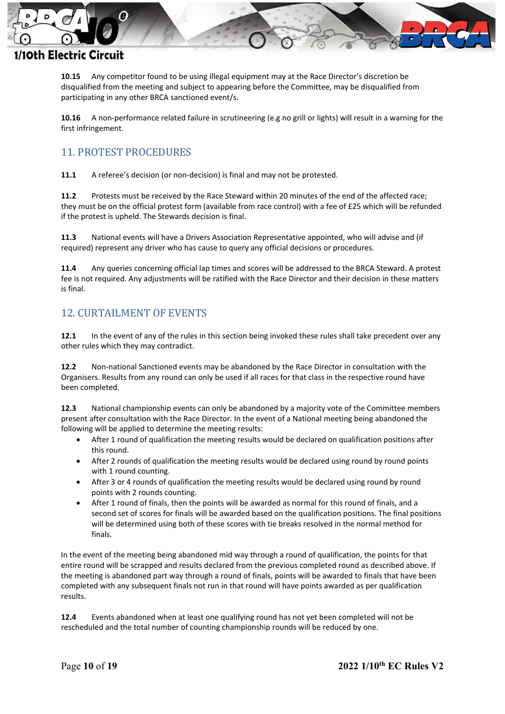

**10.15** Any competitor found to be using illegal equipment may at the Race Director's discretion be disqualified from the meeting and subject to appearing before the Committee, may be disqualified from participating in any other BRCA sanctioned event/s.

**10.16** A non-performance related failure in scrutineering (e.g no grill or lights) will result in a warning for the first infringement.

## <span id="page-9-0"></span>11. PROTEST PROCEDURES

**11.1** A referee's decision (or non-decision) is final and may not be protested.

**11.2** Protests must be received by the Race Steward within 20 minutes of the end of the affected race; they must be on the official protest form (available from race control) with a fee of £25 which will be refunded if the protest is upheld. The Stewards decision is final.

**11.3** National events will have a Drivers Association Representative appointed, who will advise and (if required) represent any driver who has cause to query any official decisions or procedures.

**11.4** Any queries concerning official lap times and scores will be addressed to the BRCA Steward. A protest fee is not required. Any adjustments will be ratified with the Race Director and their decision in these matters is final.

## <span id="page-9-1"></span>12. CURTAILMENT OF EVENTS

**12.1** In the event of any of the rules in this section being invoked these rules shall take precedent over any other rules which they may contradict.

**12.2** Non-national Sanctioned events may be abandoned by the Race Director in consultation with the Organisers. Results from any round can only be used if all races for that class in the respective round have been completed.

**12.3** National championship events can only be abandoned by a majority vote of the Committee members present after consultation with the Race Director. In the event of a National meeting being abandoned the following will be applied to determine the meeting results:

- After 1 round of qualification the meeting results would be declared on qualification positions after this round.
- After 2 rounds of qualification the meeting results would be declared using round by round points with 1 round counting.
- After 3 or 4 rounds of qualification the meeting results would be declared using round by round points with 2 rounds counting.
- After 1 round of finals, then the points will be awarded as normal for this round of finals, and a second set of scores for finals will be awarded based on the qualification positions. The final positions will be determined using both of these scores with tie breaks resolved in the normal method for finals.

In the event of the meeting being abandoned mid way through a round of qualification, the points for that entire round will be scrapped and results declared from the previous completed round as described above. If the meeting is abandoned part way through a round of finals, points will be awarded to finals that have been completed with any subsequent finals not run in that round will have points awarded as per qualification results.

**12.4** Events abandoned when at least one qualifying round has not yet been completed will not be rescheduled and the total number of counting championship rounds will be reduced by one.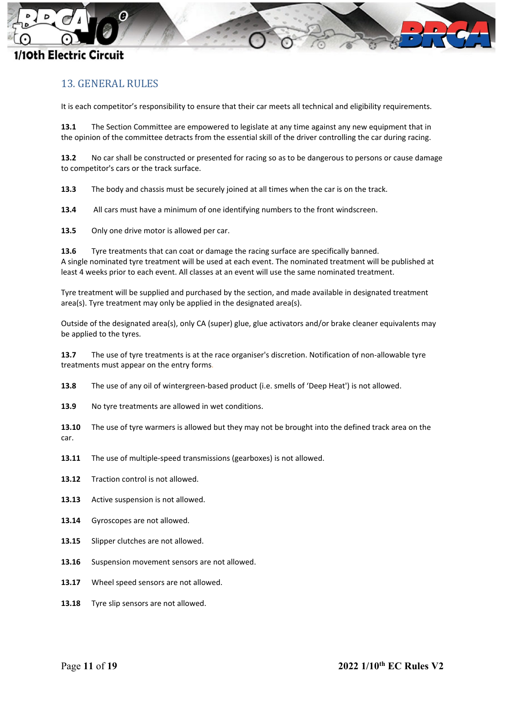

### <span id="page-10-0"></span>13. GENERAL RULES

It is each competitor's responsibility to ensure that their car meets all technical and eligibility requirements.

**13.1** The Section Committee are empowered to legislate at any time against any new equipment that in the opinion of the committee detracts from the essential skill of the driver controlling the car during racing.

**13.2** No car shall be constructed or presented for racing so as to be dangerous to persons or cause damage to competitor's cars or the track surface.

**13.3** The body and chassis must be securely joined at all times when the car is on the track.

**13.4** All cars must have a minimum of one identifying numbers to the front windscreen.

**13.5** Only one drive motor is allowed per car.

**13.6** Tyre treatments that can coat or damage the racing surface are specifically banned. A single nominated tyre treatment will be used at each event. The nominated treatment will be published at least 4 weeks prior to each event. All classes at an event will use the same nominated treatment.

Tyre treatment will be supplied and purchased by the section, and made available in designated treatment area(s). Tyre treatment may only be applied in the designated area(s).

Outside of the designated area(s), only CA (super) glue, glue activators and/or brake cleaner equivalents may be applied to the tyres.

**13.7** The use of tyre treatments is at the race organiser's discretion. Notification of non-allowable tyre treatments must appear on the entry forms.

**13.8** The use of any oil of wintergreen-based product (i.e. smells of 'Deep Heat') is not allowed.

**13.9** No tyre treatments are allowed in wet conditions.

**13.10** The use of tyre warmers is allowed but they may not be brought into the defined track area on the car.

- **13.11** The use of multiple-speed transmissions (gearboxes) is not allowed.
- **13.12** Traction control is not allowed.
- **13.13** Active suspension is not allowed.
- **13.14** Gyroscopes are not allowed.
- **13.15** Slipper clutches are not allowed.
- **13.16** Suspension movement sensors are not allowed.
- **13.17** Wheel speed sensors are not allowed.
- **13.18** Tyre slip sensors are not allowed.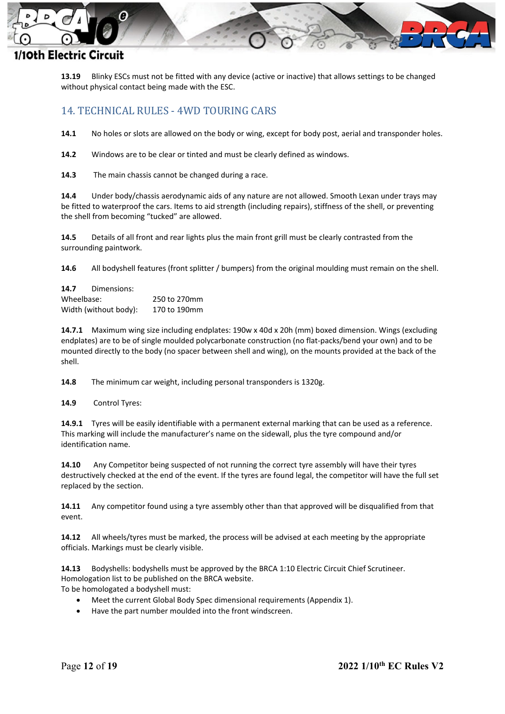

**13.19** Blinky ESCs must not be fitted with any device (active or inactive) that allows settings to be changed without physical contact being made with the ESC.

### <span id="page-11-0"></span>14. TECHNICAL RULES - 4WD TOURING CARS

**14.1** No holes or slots are allowed on the body or wing, except for body post, aerial and transponder holes.

**14.2** Windows are to be clear or tinted and must be clearly defined as windows.

**14.3** The main chassis cannot be changed during a race.

**14.4** Under body/chassis aerodynamic aids of any nature are not allowed. Smooth Lexan under trays may be fitted to waterproof the cars. Items to aid strength (including repairs), stiffness of the shell, or preventing the shell from becoming "tucked" are allowed.

**14.5** Details of all front and rear lights plus the main front grill must be clearly contrasted from the surrounding paintwork.

**14.6** All bodyshell features (front splitter / bumpers) from the original moulding must remain on the shell.

**14.7** Dimensions: Wheelbase: 250 to 270mm Width (without body): 170 to 190mm

**14.7.1** Maximum wing size including endplates: 190w x 40d x 20h (mm) boxed dimension. Wings (excluding endplates) are to be of single moulded polycarbonate construction (no flat-packs/bend your own) and to be mounted directly to the body (no spacer between shell and wing), on the mounts provided at the back of the shell.

**14.8** The minimum car weight, including personal transponders is 1320g.

**14.9** Control Tyres:

**14.9.1** Tyres will be easily identifiable with a permanent external marking that can be used as a reference. This marking will include the manufacturer's name on the sidewall, plus the tyre compound and/or identification name.

**14.10** Any Competitor being suspected of not running the correct tyre assembly will have their tyres destructively checked at the end of the event. If the tyres are found legal, the competitor will have the full set replaced by the section.

**14.11** Any competitor found using a tyre assembly other than that approved will be disqualified from that event.

**14.12** All wheels/tyres must be marked, the process will be advised at each meeting by the appropriate officials. Markings must be clearly visible.

**14.13** Bodyshells: bodyshells must be approved by the BRCA 1:10 Electric Circuit Chief Scrutineer. Homologation list to be published on the BRCA website. To be homologated a bodyshell must:

• Meet the current Global Body Spec dimensional requirements (Appendix 1).

• Have the part number moulded into the front windscreen.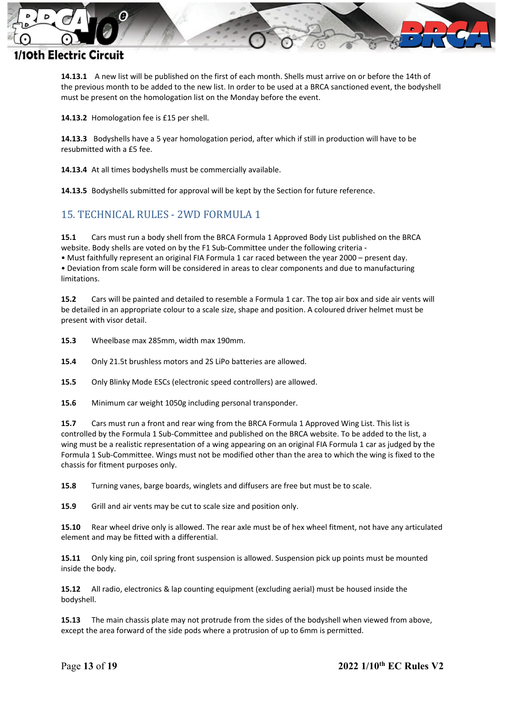

**14.13.1** A new list will be published on the first of each month. Shells must arrive on or before the 14th of the previous month to be added to the new list. In order to be used at a BRCA sanctioned event, the bodyshell must be present on the homologation list on the Monday before the event.

**14.13.2** Homologation fee is £15 per shell.

**14.13.3** Bodyshells have a 5 year homologation period, after which if still in production will have to be resubmitted with a £5 fee.

**14.13.4** At all times bodyshells must be commercially available.

**14.13.5** Bodyshells submitted for approval will be kept by the Section for future reference.

## <span id="page-12-0"></span>15. TECHNICAL RULES - 2WD FORMULA 1

**15.1** Cars must run a body shell from the BRCA Formula 1 Approved Body List published on the BRCA website. Body shells are voted on by the F1 Sub-Committee under the following criteria -

• Must faithfully represent an original FIA Formula 1 car raced between the year 2000 – present day. • Deviation from scale form will be considered in areas to clear components and due to manufacturing limitations.

**15.2** Cars will be painted and detailed to resemble a Formula 1 car. The top air box and side air vents will be detailed in an appropriate colour to a scale size, shape and position. A coloured driver helmet must be present with visor detail.

**15.3** Wheelbase max 285mm, width max 190mm.

**15.4** Only 21.5t brushless motors and 2S LiPo batteries are allowed.

**15.5** Only Blinky Mode ESCs (electronic speed controllers) are allowed.

**15.6** Minimum car weight 1050g including personal transponder.

**15.7** Cars must run a front and rear wing from the BRCA Formula 1 Approved Wing List. This list is controlled by the Formula 1 Sub-Committee and published on the BRCA website. To be added to the list, a wing must be a realistic representation of a wing appearing on an original FIA Formula 1 car as judged by the Formula 1 Sub-Committee. Wings must not be modified other than the area to which the wing is fixed to the chassis for fitment purposes only.

**15.8** Turning vanes, barge boards, winglets and diffusers are free but must be to scale.

**15.9** Grill and air vents may be cut to scale size and position only.

**15.10** Rear wheel drive only is allowed. The rear axle must be of hex wheel fitment, not have any articulated element and may be fitted with a differential.

**15.11** Only king pin, coil spring front suspension is allowed. Suspension pick up points must be mounted inside the body.

**15.12** All radio, electronics & lap counting equipment (excluding aerial) must be housed inside the bodyshell.

**15.13** The main chassis plate may not protrude from the sides of the bodyshell when viewed from above, except the area forward of the side pods where a protrusion of up to 6mm is permitted.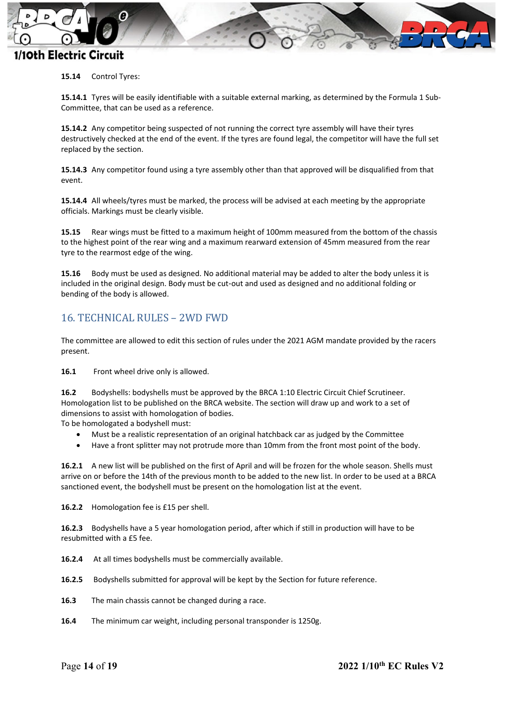

#### **15.14** Control Tyres:

**15.14.1** Tyres will be easily identifiable with a suitable external marking, as determined by the Formula 1 Sub-Committee, that can be used as a reference.

**15.14.2** Any competitor being suspected of not running the correct tyre assembly will have their tyres destructively checked at the end of the event. If the tyres are found legal, the competitor will have the full set replaced by the section.

**15.14.3** Any competitor found using a tyre assembly other than that approved will be disqualified from that event.

**15.14.4** All wheels/tyres must be marked, the process will be advised at each meeting by the appropriate officials. Markings must be clearly visible.

**15.15** Rear wings must be fitted to a maximum height of 100mm measured from the bottom of the chassis to the highest point of the rear wing and a maximum rearward extension of 45mm measured from the rear tyre to the rearmost edge of the wing.

**15.16** Body must be used as designed. No additional material may be added to alter the body unless it is included in the original design. Body must be cut-out and used as designed and no additional folding or bending of the body is allowed.

#### <span id="page-13-0"></span>16. TECHNICAL RULES – 2WD FWD

The committee are allowed to edit this section of rules under the 2021 AGM mandate provided by the racers present.

**16.1** Front wheel drive only is allowed.

**16.2** Bodyshells: bodyshells must be approved by the BRCA 1:10 Electric Circuit Chief Scrutineer. Homologation list to be published on the BRCA website. The section will draw up and work to a set of dimensions to assist with homologation of bodies.

To be homologated a bodyshell must:

- Must be a realistic representation of an original hatchback car as judged by the Committee
- Have a front splitter may not protrude more than 10mm from the front most point of the body.

**16.2.1** A new list will be published on the first of April and will be frozen for the whole season. Shells must arrive on or before the 14th of the previous month to be added to the new list. In order to be used at a BRCA sanctioned event, the bodyshell must be present on the homologation list at the event.

**16.2.2** Homologation fee is £15 per shell.

**16.2.3** Bodyshells have a 5 year homologation period, after which if still in production will have to be resubmitted with a £5 fee.

**16.2.4** At all times bodyshells must be commercially available.

**16.2.5** Bodyshells submitted for approval will be kept by the Section for future reference.

- **16.3** The main chassis cannot be changed during a race.
- **16.4** The minimum car weight, including personal transponder is 1250g.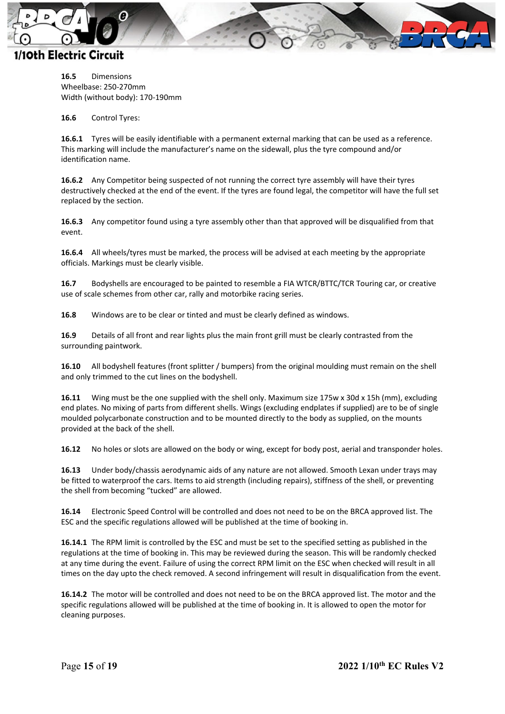

**16.5** Dimensions Wheelbase: 250-270mm Width (without body): 170-190mm

**16.6** Control Tyres:

**16.6.1** Tyres will be easily identifiable with a permanent external marking that can be used as a reference. This marking will include the manufacturer's name on the sidewall, plus the tyre compound and/or identification name.

**16.6.2** Any Competitor being suspected of not running the correct tyre assembly will have their tyres destructively checked at the end of the event. If the tyres are found legal, the competitor will have the full set replaced by the section.

**16.6.3** Any competitor found using a tyre assembly other than that approved will be disqualified from that event.

**16.6.4** All wheels/tyres must be marked, the process will be advised at each meeting by the appropriate officials. Markings must be clearly visible.

**16.7** Bodyshells are encouraged to be painted to resemble a FIA WTCR/BTTC/TCR Touring car, or creative use of scale schemes from other car, rally and motorbike racing series.

**16.8** Windows are to be clear or tinted and must be clearly defined as windows.

**16.9** Details of all front and rear lights plus the main front grill must be clearly contrasted from the surrounding paintwork.

**16.10** All bodyshell features (front splitter / bumpers) from the original moulding must remain on the shell and only trimmed to the cut lines on the bodyshell.

**16.11** Wing must be the one supplied with the shell only. Maximum size 175w x 30d x 15h (mm), excluding end plates. No mixing of parts from different shells. Wings (excluding endplates if supplied) are to be of single moulded polycarbonate construction and to be mounted directly to the body as supplied, on the mounts provided at the back of the shell.

**16.12** No holes or slots are allowed on the body or wing, except for body post, aerial and transponder holes.

**16.13** Under body/chassis aerodynamic aids of any nature are not allowed. Smooth Lexan under trays may be fitted to waterproof the cars. Items to aid strength (including repairs), stiffness of the shell, or preventing the shell from becoming "tucked" are allowed.

**16.14** Electronic Speed Control will be controlled and does not need to be on the BRCA approved list. The ESC and the specific regulations allowed will be published at the time of booking in.

**16.14.1** The RPM limit is controlled by the ESC and must be set to the specified setting as published in the regulations at the time of booking in. This may be reviewed during the season. This will be randomly checked at any time during the event. Failure of using the correct RPM limit on the ESC when checked will result in all times on the day upto the check removed. A second infringement will result in disqualification from the event.

**16.14.2** The motor will be controlled and does not need to be on the BRCA approved list. The motor and the specific regulations allowed will be published at the time of booking in. It is allowed to open the motor for cleaning purposes.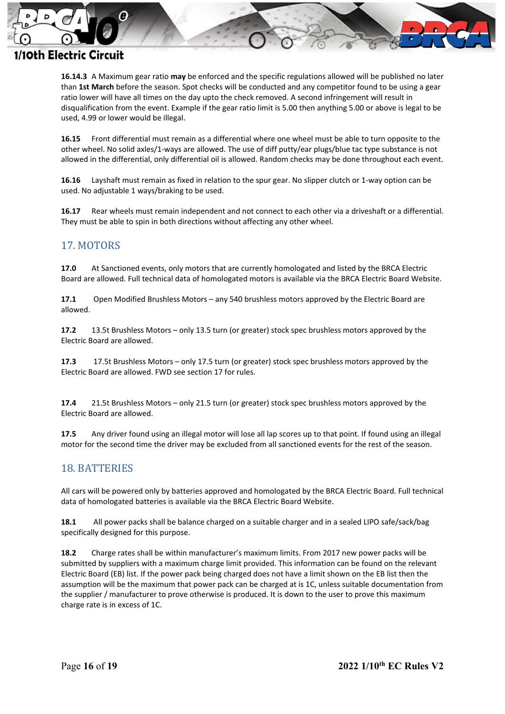

**16.14.3** A Maximum gear ratio **may** be enforced and the specific regulations allowed will be published no later than **1st March** before the season. Spot checks will be conducted and any competitor found to be using a gear ratio lower will have all times on the day upto the check removed. A second infringement will result in disqualification from the event. Example if the gear ratio limit is 5.00 then anything 5.00 or above is legal to be used, 4.99 or lower would be illegal.

**16.15** Front differential must remain as a differential where one wheel must be able to turn opposite to the other wheel. No solid axles/1-ways are allowed. The use of diff putty/ear plugs/blue tac type substance is not allowed in the differential, only differential oil is allowed. Random checks may be done throughout each event.

**16.16** Layshaft must remain as fixed in relation to the spur gear. No slipper clutch or 1-way option can be used. No adjustable 1 ways/braking to be used.

**16.17** Rear wheels must remain independent and not connect to each other via a driveshaft or a differential. They must be able to spin in both directions without affecting any other wheel.

#### <span id="page-15-0"></span>17. MOTORS

**17.0** At Sanctioned events, only motors that are currently homologated and listed by the BRCA Electric Board are allowed. Full technical data of homologated motors is available via the BRCA Electric Board Website.

**17.1** Open Modified Brushless Motors – any 540 brushless motors approved by the Electric Board are allowed.

**17.2** 13.5t Brushless Motors – only 13.5 turn (or greater) stock spec brushless motors approved by the Electric Board are allowed.

**17.3** 17.5t Brushless Motors – only 17.5 turn (or greater) stock spec brushless motors approved by the Electric Board are allowed. FWD see section 17 for rules.

**17.4** 21.5t Brushless Motors – only 21.5 turn (or greater) stock spec brushless motors approved by the Electric Board are allowed.

**17.5** Any driver found using an illegal motor will lose all lap scores up to that point. If found using an illegal motor for the second time the driver may be excluded from all sanctioned events for the rest of the season.

#### <span id="page-15-1"></span>18. BATTERIES

All cars will be powered only by batteries approved and homologated by the BRCA Electric Board. Full technical data of homologated batteries is available via the BRCA Electric Board Website.

**18.1** All power packs shall be balance charged on a suitable charger and in a sealed LIPO safe/sack/bag specifically designed for this purpose.

**18.2** Charge rates shall be within manufacturer's maximum limits. From 2017 new power packs will be submitted by suppliers with a maximum charge limit provided. This information can be found on the relevant Electric Board (EB) list. If the power pack being charged does not have a limit shown on the EB list then the assumption will be the maximum that power pack can be charged at is 1C, unless suitable documentation from the supplier / manufacturer to prove otherwise is produced. It is down to the user to prove this maximum charge rate is in excess of 1C.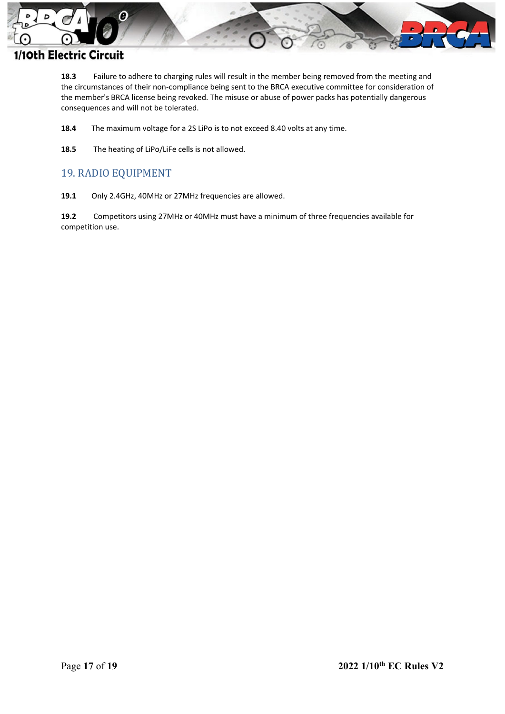

**18.3** Failure to adhere to charging rules will result in the member being removed from the meeting and the circumstances of their non-compliance being sent to the BRCA executive committee for consideration of the member's BRCA license being revoked. The misuse or abuse of power packs has potentially dangerous consequences and will not be tolerated.

- **18.4** The maximum voltage for a 2S LiPo is to not exceed 8.40 volts at any time.
- **18.5** The heating of LiPo/LiFe cells is not allowed.

#### <span id="page-16-0"></span>19. RADIO EQUIPMENT

**19.1** Only 2.4GHz, 40MHz or 27MHz frequencies are allowed.

**19.2** Competitors using 27MHz or 40MHz must have a minimum of three frequencies available for competition use.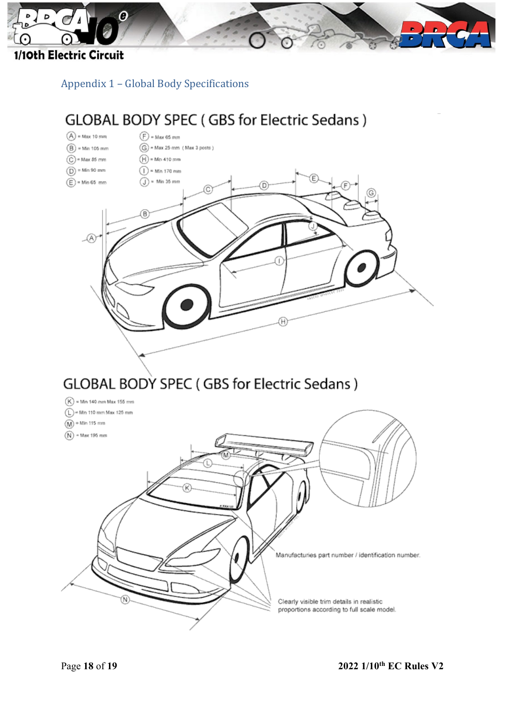

<span id="page-17-0"></span>Appendix 1 – Global Body Specifications